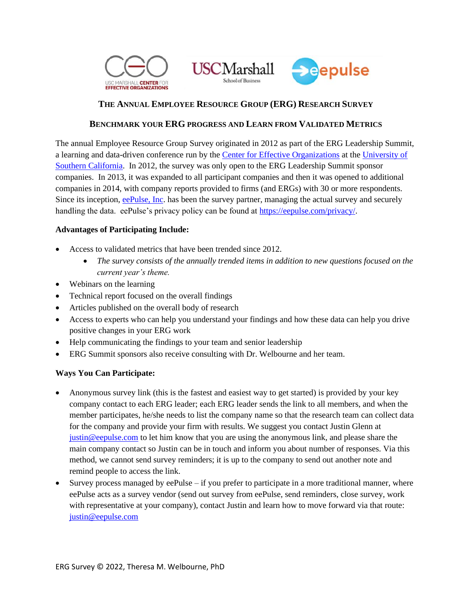





## **THE ANNUAL EMPLOYEE RESOURCE GROUP (ERG) RESEARCH SURVEY**

#### **BENCHMARK YOUR ERG PROGRESS AND LEARN FROM VALIDATED METRICS**

The annual Employee Resource Group Survey originated in 2012 as part of the ERG Leadership Summit, a learning and data-driven conference run by the [Center for Effective Organizations](https://ceo.usc.edu/) at the [University of](https://www.marshall.usc.edu/)  [Southern California.](https://www.marshall.usc.edu/) In 2012, the survey was only open to the ERG Leadership Summit sponsor companies. In 2013, it was expanded to all participant companies and then it was opened to additional companies in 2014, with company reports provided to firms (and ERGs) with 30 or more respondents. Since its inception, [eePulse, Inc.](https://eepulse.com/) has been the survey partner, managing the actual survey and securely handling the data. eePulse's privacy policy can be found at [https://eepulse.com/privacy/.](https://eepulse.com/privacy/)

#### **Advantages of Participating Include:**

- Access to validated metrics that have been trended since 2012.
	- *The survey consists of the annually trended items in addition to new questions focused on the current year's theme.*
- Webinars on the learning
- Technical report focused on the overall findings
- Articles published on the overall body of research
- Access to experts who can help you understand your findings and how these data can help you drive positive changes in your ERG work
- Help communicating the findings to your team and senior leadership
- ERG Summit sponsors also receive consulting with Dr. Welbourne and her team.

#### **Ways You Can Participate:**

- Anonymous survey link (this is the fastest and easiest way to get started) is provided by your key company contact to each ERG leader; each ERG leader sends the link to all members, and when the member participates, he/she needs to list the company name so that the research team can collect data for the company and provide your firm with results. We suggest you contact Justin Glenn at [justin@eepulse.com](mailto:justin@eepulse.com) to let him know that you are using the anonymous link, and please share the main company contact so Justin can be in touch and inform you about number of responses. Via this method, we cannot send survey reminders; it is up to the company to send out another note and remind people to access the link.
- Survey process managed by eePulse if you prefer to participate in a more traditional manner, where eePulse acts as a survey vendor (send out survey from eePulse, send reminders, close survey, work with representative at your company), contact Justin and learn how to move forward via that route: [justin@eepulse.com](mailto:justin@eepulse.com)